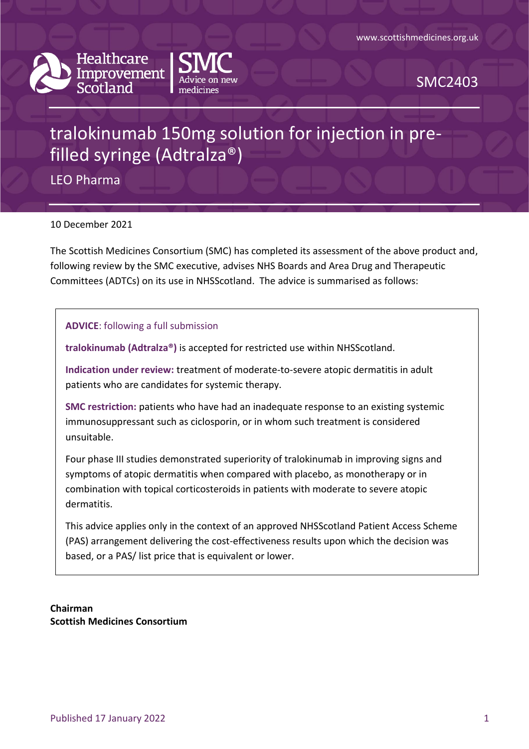



SMC2403

# tralokinumab 150mg solution for injection in prefilled syringe (Adtralza®)

LEO Pharma

10 December 2021

The Scottish Medicines Consortium (SMC) has completed its assessment of the above product and, following review by the SMC executive, advises NHS Boards and Area Drug and Therapeutic Committees (ADTCs) on its use in NHSScotland. The advice is summarised as follows:

**ADVICE**: following a full submission

**tralokinumab (Adtralza®)** is accepted for restricted use within NHSScotland.

**Indication under review:** treatment of moderate-to-severe atopic dermatitis in adult patients who are candidates for systemic therapy.

**SMC restriction:** patients who have had an inadequate response to an existing systemic immunosuppressant such as ciclosporin, or in whom such treatment is considered unsuitable.

Four phase III studies demonstrated superiority of tralokinumab in improving signs and symptoms of atopic dermatitis when compared with placebo, as monotherapy or in combination with topical corticosteroids in patients with moderate to severe atopic dermatitis.

This advice applies only in the context of an approved NHSScotland Patient Access Scheme (PAS) arrangement delivering the cost-effectiveness results upon which the decision was based, or a PAS/ list price that is equivalent or lower.

**Chairman Scottish Medicines Consortium**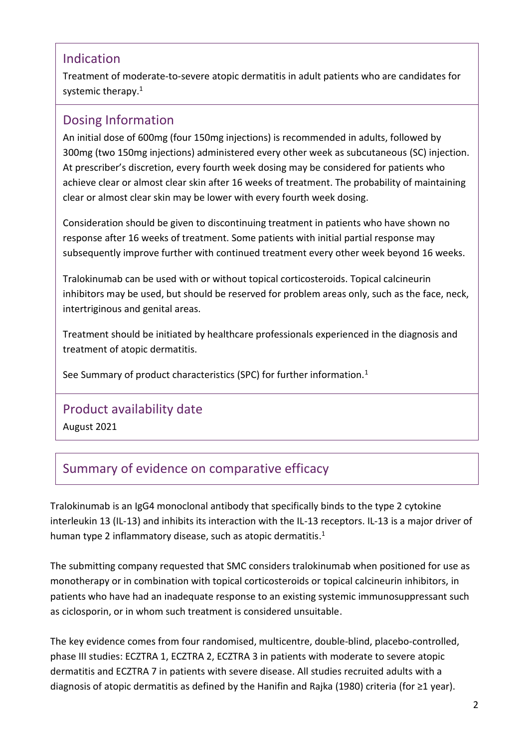### Indication

Treatment of moderate-to-severe atopic dermatitis in adult patients who are candidates for systemic therapy.<sup>1</sup>

# Dosing Information

An initial dose of 600mg (four 150mg injections) is recommended in adults, followed by 300mg (two 150mg injections) administered every other week as subcutaneous (SC) injection. At prescriber's discretion, every fourth week dosing may be considered for patients who achieve clear or almost clear skin after 16 weeks of treatment. The probability of maintaining clear or almost clear skin may be lower with every fourth week dosing.

Consideration should be given to discontinuing treatment in patients who have shown no response after 16 weeks of treatment. Some patients with initial partial response may subsequently improve further with continued treatment every other week beyond 16 weeks.

Tralokinumab can be used with or without topical corticosteroids. Topical calcineurin inhibitors may be used, but should be reserved for problem areas only, such as the face, neck, intertriginous and genital areas.

Treatment should be initiated by healthcare professionals experienced in the diagnosis and treatment of atopic dermatitis.

See Summary of product characteristics (SPC) for further information.<sup>1</sup>

### Product availability date

August 2021

# Summary of evidence on comparative efficacy

Tralokinumab is an IgG4 monoclonal antibody that specifically binds to the type 2 cytokine interleukin 13 (IL-13) and inhibits its interaction with the IL-13 receptors. IL-13 is a major driver of human type 2 inflammatory disease, such as atopic dermatitis.<sup>1</sup>

The submitting company requested that SMC considers tralokinumab when positioned for use as monotherapy or in combination with topical corticosteroids or topical calcineurin inhibitors, in patients who have had an inadequate response to an existing systemic immunosuppressant such as ciclosporin, or in whom such treatment is considered unsuitable.

The key evidence comes from four randomised, multicentre, double-blind, placebo-controlled, phase III studies: ECZTRA 1, ECZTRA 2, ECZTRA 3 in patients with moderate to severe atopic dermatitis and ECZTRA 7 in patients with severe disease. All studies recruited adults with a diagnosis of atopic dermatitis as defined by the Hanifin and Rajka (1980) criteria (for ≥1 year).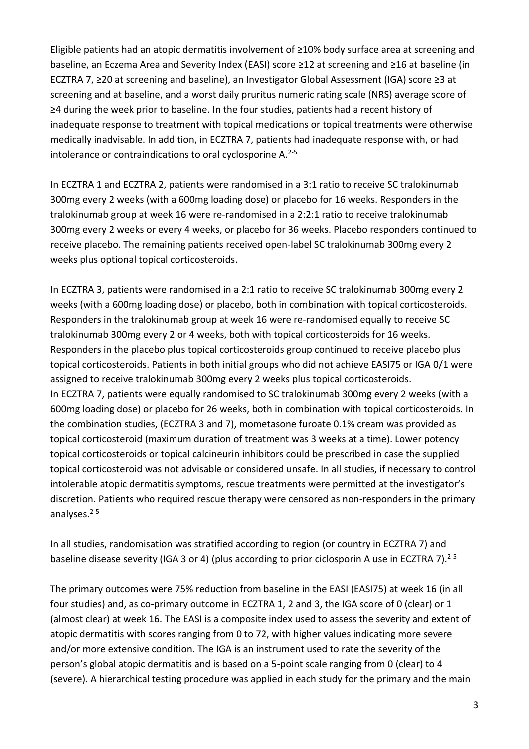Eligible patients had an atopic dermatitis involvement of ≥10% body surface area at screening and baseline, an Eczema Area and Severity Index (EASI) score ≥12 at screening and ≥16 at baseline (in ECZTRA 7, ≥20 at screening and baseline), an Investigator Global Assessment (IGA) score ≥3 at screening and at baseline, and a worst daily pruritus numeric rating scale (NRS) average score of ≥4 during the week prior to baseline. In the four studies, patients had a recent history of inadequate response to treatment with topical medications or topical treatments were otherwise medically inadvisable. In addition, in ECZTRA 7, patients had inadequate response with, or had intolerance or contraindications to oral cyclosporine A. 2-5

In ECZTRA 1 and ECZTRA 2, patients were randomised in a 3:1 ratio to receive SC tralokinumab 300mg every 2 weeks (with a 600mg loading dose) or placebo for 16 weeks. Responders in the tralokinumab group at week 16 were re-randomised in a 2:2:1 ratio to receive tralokinumab 300mg every 2 weeks or every 4 weeks, or placebo for 36 weeks. Placebo responders continued to receive placebo. The remaining patients received open-label SC tralokinumab 300mg every 2 weeks plus optional topical corticosteroids.

In ECZTRA 3, patients were randomised in a 2:1 ratio to receive SC tralokinumab 300mg every 2 weeks (with a 600mg loading dose) or placebo, both in combination with topical corticosteroids. Responders in the tralokinumab group at week 16 were re-randomised equally to receive SC tralokinumab 300mg every 2 or 4 weeks, both with topical corticosteroids for 16 weeks. Responders in the placebo plus topical corticosteroids group continued to receive placebo plus topical corticosteroids. Patients in both initial groups who did not achieve EASI75 or IGA 0/1 were assigned to receive tralokinumab 300mg every 2 weeks plus topical corticosteroids. In ECZTRA 7, patients were equally randomised to SC tralokinumab 300mg every 2 weeks (with a 600mg loading dose) or placebo for 26 weeks, both in combination with topical corticosteroids. In the combination studies, (ECZTRA 3 and 7), mometasone furoate 0.1% cream was provided as topical corticosteroid (maximum duration of treatment was 3 weeks at a time). Lower potency topical corticosteroids or topical calcineurin inhibitors could be prescribed in case the supplied topical corticosteroid was not advisable or considered unsafe. In all studies, if necessary to control intolerable atopic dermatitis symptoms, rescue treatments were permitted at the investigator's discretion. Patients who required rescue therapy were censored as non-responders in the primary analyses. 2-5

In all studies, randomisation was stratified according to region (or country in ECZTRA 7) and baseline disease severity (IGA 3 or 4) (plus according to prior ciclosporin A use in ECZTRA 7).<sup>2-5</sup>

The primary outcomes were 75% reduction from baseline in the EASI (EASI75) at week 16 (in all four studies) and, as co-primary outcome in ECZTRA 1, 2 and 3, the IGA score of 0 (clear) or 1 (almost clear) at week 16. The EASI is a composite index used to assess the severity and extent of atopic dermatitis with scores ranging from 0 to 72, with higher values indicating more severe and/or more extensive condition. The IGA is an instrument used to rate the severity of the person's global atopic dermatitis and is based on a 5-point scale ranging from 0 (clear) to 4 (severe). A hierarchical testing procedure was applied in each study for the primary and the main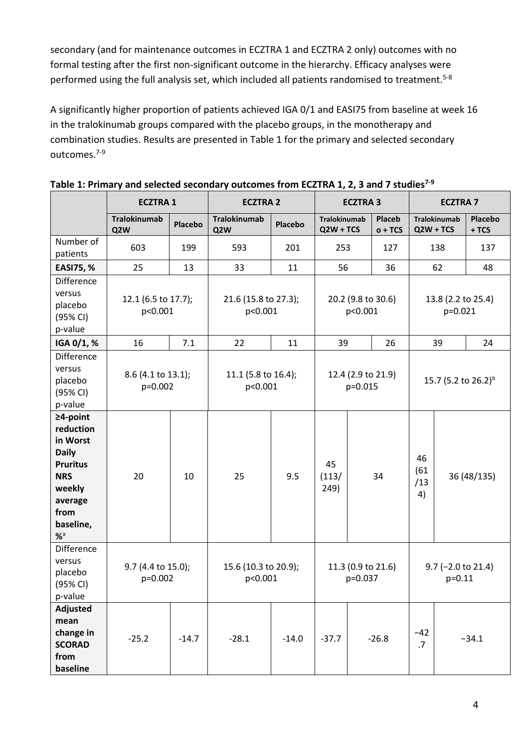secondary (and for maintenance outcomes in ECZTRA 1 and ECZTRA 2 only) outcomes with no formal testing after the first non-significant outcome in the hierarchy. Efficacy analyses were performed using the full analysis set, which included all patients randomised to treatment.<sup>5-8</sup>

A significantly higher proportion of patients achieved IGA 0/1 and EASI75 from baseline at week 16 in the tralokinumab groups compared with the placebo groups, in the monotherapy and combination studies. Results are presented in Table 1 for the primary and selected secondary outcomes. 7-9

|                                                                                                                                                        | <b>ECZTRA1</b>                          |         | <b>ECZTRA 2</b>                         |         | <b>ECZTRA3</b>                                                    |                                                                | <b>ECZTRA 7</b>                 |                         |                                    |                   |
|--------------------------------------------------------------------------------------------------------------------------------------------------------|-----------------------------------------|---------|-----------------------------------------|---------|-------------------------------------------------------------------|----------------------------------------------------------------|---------------------------------|-------------------------|------------------------------------|-------------------|
|                                                                                                                                                        | <b>Tralokinumab</b><br>Q <sub>2</sub> W | Placebo | <b>Tralokinumab</b><br>Q <sub>2</sub> W | Placebo | <b>Tralokinumab</b><br>$QZW + TCS$                                |                                                                | <b>Placeb</b><br>$o + TCS$      |                         | <b>Tralokinumab</b><br>$QZW + TCS$ | Placebo<br>$+TCS$ |
| Number of<br>patients                                                                                                                                  | 603                                     | 199     | 593                                     | 201     | 253                                                               |                                                                | 127                             |                         | 138                                | 137               |
| <b>EASI75, %</b>                                                                                                                                       | 25                                      | 13      | 33                                      | 11      | 56                                                                |                                                                | 36                              |                         | 62                                 | 48                |
| <b>Difference</b><br>versus<br>placebo<br>(95% CI)<br>p-value                                                                                          | 12.1 (6.5 to 17.7);<br>p<0.001          |         | 21.6 (15.8 to 27.3);<br>p<0.001         |         |                                                                   | 20.2 (9.8 to 30.6)<br>13.8 (2.2 to 25.4)<br>p<0.001<br>p=0.021 |                                 |                         |                                    |                   |
| IGA 0/1, %                                                                                                                                             | 16                                      | 7.1     | 22                                      | 11      | 39                                                                |                                                                | 26                              |                         | 39                                 | 24                |
| <b>Difference</b><br>versus<br>placebo<br>(95% CI)<br>p-value                                                                                          | 8.6 (4.1 to 13.1);<br>p=0.002           |         | 11.1 (5.8 to 16.4);<br>p<0.001          |         | 12.4 (2.9 to 21.9)<br>p=0.015                                     |                                                                | 15.7 (5.2 to 26.2) <sup>b</sup> |                         |                                    |                   |
| $\geq$ 4-point<br>reduction<br>in Worst<br><b>Daily</b><br><b>Pruritus</b><br><b>NRS</b><br>weekly<br>average<br>from<br>baseline,<br>$%$ <sup>a</sup> | 20                                      | 10      | 25                                      | 9.5     | 45<br>(113/<br>249)                                               |                                                                | 34                              | 46<br>(61)<br>/13<br>4) |                                    | 36 (48/135)       |
| Difference<br>versus<br>placebo<br>(95% CI)<br>p-value                                                                                                 | 9.7 (4.4 to 15.0);<br>p=0.002           |         | 15.6 (10.3 to 20.9);<br>p<0.001         |         | 11.3 (0.9 to 21.6)<br>$9.7$ (-2.0 to 21.4)<br>$p=0.11$<br>p=0.037 |                                                                |                                 |                         |                                    |                   |
| Adjusted<br>mean<br>change in<br><b>SCORAD</b><br>from<br>baseline                                                                                     | $-25.2$                                 | $-14.7$ | $-28.1$                                 | $-14.0$ | $-37.7$                                                           |                                                                | $-26.8$                         | $-42$<br>.7             |                                    | $-34.1$           |

**Table 1: Primary and selected secondary outcomes from ECZTRA 1, 2, 3 and 7 studies7-9**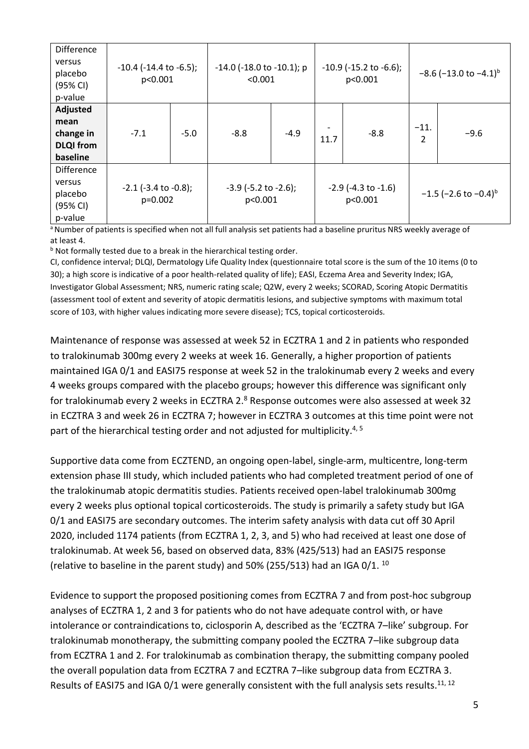| Difference<br>versus<br>placebo<br>(95% CI)<br>p-value        | $-10.4$ ( $-14.4$ to $-6.5$ );<br>p<0.001 |        | $-14.0$ ( $-18.0$ to $-10.1$ ); p<br>< 0.001 |        | $-10.9$ ( $-15.2$ to $-6.6$ );<br>p<0.001 |        | $-8.6$ (-13.0 to -4.1) <sup>b</sup> |                                       |  |
|---------------------------------------------------------------|-------------------------------------------|--------|----------------------------------------------|--------|-------------------------------------------|--------|-------------------------------------|---------------------------------------|--|
| Adjusted<br>mean<br>change in<br><b>DLQI</b> from<br>baseline | $-7.1$                                    | $-5.0$ | $-8.8$                                       | $-4.9$ | 11.7                                      | $-8.8$ | $-11.$<br>$\overline{2}$            | $-9.6$                                |  |
| Difference<br>versus<br>placebo<br>(95% CI)<br>p-value        | $-2.1$ ( $-3.4$ to $-0.8$ );<br>p=0.002   |        | $-3.9$ ( $-5.2$ to $-2.6$ );<br>p<0.001      |        | $-2.9$ (-4.3 to $-1.6$ )<br>p<0.001       |        |                                     | $-1.5$ (-2.6 to $-0.4$ ) <sup>b</sup> |  |

<sup>a</sup> Number of patients is specified when not all full analysis set patients had a baseline pruritus NRS weekly average of at least 4.

b Not formally tested due to a break in the hierarchical testing order.

CI, confidence interval; DLQI, Dermatology Life Quality Index (questionnaire total score is the sum of the 10 items (0 to 30); a high score is indicative of a poor health-related quality of life); EASI, Eczema Area and Severity Index; IGA, Investigator Global Assessment; NRS, numeric rating scale; Q2W, every 2 weeks; SCORAD, Scoring Atopic Dermatitis (assessment tool of extent and severity of atopic dermatitis lesions, and subjective symptoms with maximum total score of 103, with higher values indicating more severe disease); TCS, topical corticosteroids.

Maintenance of response was assessed at week 52 in ECZTRA 1 and 2 in patients who responded to tralokinumab 300mg every 2 weeks at week 16. Generally, a higher proportion of patients maintained IGA 0/1 and EASI75 response at week 52 in the tralokinumab every 2 weeks and every 4 weeks groups compared with the placebo groups; however this difference was significant only for tralokinumab every 2 weeks in ECZTRA 2.<sup>8</sup> Response outcomes were also assessed at week 32 in ECZTRA 3 and week 26 in ECZTRA 7; however in ECZTRA 3 outcomes at this time point were not part of the hierarchical testing order and not adjusted for multiplicity.<sup>4, 5</sup>

Supportive data come from ECZTEND, an ongoing open-label, single-arm, multicentre, long-term extension phase III study, which included patients who had completed treatment period of one of the tralokinumab atopic dermatitis studies. Patients received open-label tralokinumab 300mg every 2 weeks plus optional topical corticosteroids. The study is primarily a safety study but IGA 0/1 and EASI75 are secondary outcomes. The interim safety analysis with data cut off 30 April 2020, included 1174 patients (from ECZTRA 1, 2, 3, and 5) who had received at least one dose of tralokinumab. At week 56, based on observed data, 83% (425/513) had an EASI75 response (relative to baseline in the parent study) and 50% (255/513) had an IGA 0/1.  $^{10}$ 

Evidence to support the proposed positioning comes from ECZTRA 7 and from post-hoc subgroup analyses of ECZTRA 1, 2 and 3 for patients who do not have adequate control with, or have intolerance or contraindications to, ciclosporin A, described as the 'ECZTRA 7–like' subgroup. For tralokinumab monotherapy, the submitting company pooled the ECZTRA 7–like subgroup data from ECZTRA 1 and 2. For tralokinumab as combination therapy, the submitting company pooled the overall population data from ECZTRA 7 and ECZTRA 7–like subgroup data from ECZTRA 3. Results of EASI75 and IGA 0/1 were generally consistent with the full analysis sets results.<sup>11, 12</sup>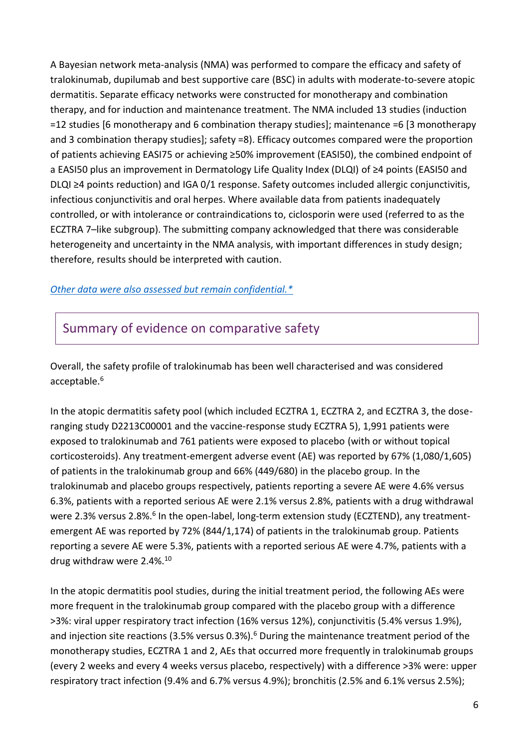A Bayesian network meta-analysis (NMA) was performed to compare the efficacy and safety of tralokinumab, dupilumab and best supportive care (BSC) in adults with moderate-to-severe atopic dermatitis. Separate efficacy networks were constructed for monotherapy and combination therapy, and for induction and maintenance treatment. The NMA included 13 studies (induction =12 studies [6 monotherapy and 6 combination therapy studies]; maintenance =6 [3 monotherapy and 3 combination therapy studies]; safety =8). Efficacy outcomes compared were the proportion of patients achieving EASI75 or achieving ≥50% improvement (EASI50), the combined endpoint of a EASI50 plus an improvement in Dermatology Life Quality Index (DLQI) of ≥4 points (EASI50 and DLQI ≥4 points reduction) and IGA 0/1 response. Safety outcomes included allergic conjunctivitis, infectious conjunctivitis and oral herpes. Where available data from patients inadequately controlled, or with intolerance or contraindications to, ciclosporin were used (referred to as the ECZTRA 7–like subgroup). The submitting company acknowledged that there was considerable heterogeneity and uncertainty in the NMA analysis, with important differences in study design; therefore, results should be interpreted with caution.

#### *[Other data were also assessed but remain confidential.\\*](https://www.scottishmedicines.org.uk/media/3572/20180710-release-of-company-data.pdf)*

### Summary of evidence on comparative safety

Overall, the safety profile of tralokinumab has been well characterised and was considered acceptable.<sup>6</sup>

In the atopic dermatitis safety pool (which included ECZTRA 1, ECZTRA 2, and ECZTRA 3, the doseranging study D2213C00001 and the vaccine-response study ECZTRA 5), 1,991 patients were exposed to tralokinumab and 761 patients were exposed to placebo (with or without topical corticosteroids). Any treatment-emergent adverse event (AE) was reported by 67% (1,080/1,605) of patients in the tralokinumab group and 66% (449/680) in the placebo group. In the tralokinumab and placebo groups respectively, patients reporting a severe AE were 4.6% versus 6.3%, patients with a reported serious AE were 2.1% versus 2.8%, patients with a drug withdrawal were 2.3% versus 2.8%.<sup>6</sup> In the open-label, long-term extension study (ECZTEND), any treatmentemergent AE was reported by 72% (844/1,174) of patients in the tralokinumab group. Patients reporting a severe AE were 5.3%, patients with a reported serious AE were 4.7%, patients with a drug withdraw were 2.4%.<sup>10</sup>

In the atopic dermatitis pool studies, during the initial treatment period, the following AEs were more frequent in the tralokinumab group compared with the placebo group with a difference >3%: viral upper respiratory tract infection (16% versus 12%), conjunctivitis (5.4% versus 1.9%), and injection site reactions (3.5% versus 0.3%).<sup>6</sup> During the maintenance treatment period of the monotherapy studies, ECZTRA 1 and 2, AEs that occurred more frequently in tralokinumab groups (every 2 weeks and every 4 weeks versus placebo, respectively) with a difference >3% were: upper respiratory tract infection (9.4% and 6.7% versus 4.9%); bronchitis (2.5% and 6.1% versus 2.5%);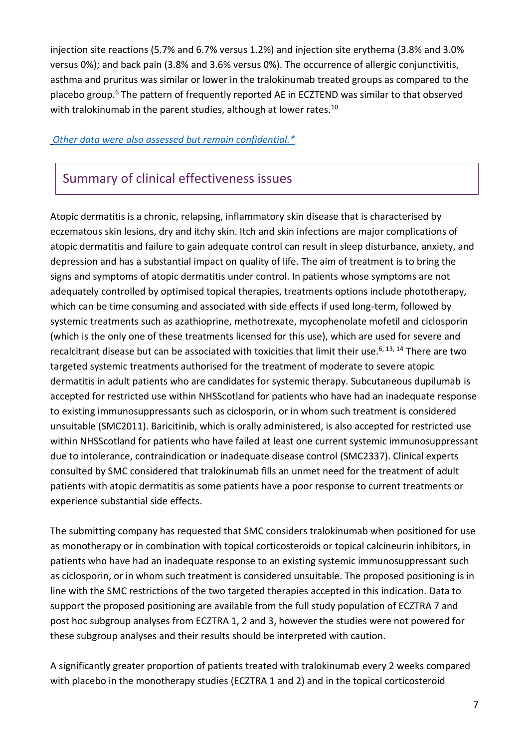injection site reactions (5.7% and 6.7% versus 1.2%) and injection site erythema (3.8% and 3.0% versus 0%); and back pain (3.8% and 3.6% versus 0%). The occurrence of allergic conjunctivitis, asthma and pruritus was similar or lower in the tralokinumab treated groups as compared to the placebo group.<sup>6</sup> The pattern of frequently reported AE in ECZTEND was similar to that observed with tralokinumab in the parent studies, although at lower rates.<sup>10</sup>

#### *[Other data were also assessed but remain confidential.\\*](https://www.scottishmedicines.org.uk/media/3572/20180710-release-of-company-data.pdf)*

### Summary of clinical effectiveness issues

Atopic dermatitis is a chronic, relapsing, inflammatory skin disease that is characterised by eczematous skin lesions, dry and itchy skin. Itch and skin infections are major complications of atopic dermatitis and failure to gain adequate control can result in sleep disturbance, anxiety, and depression and has a substantial impact on quality of life. The aim of treatment is to bring the signs and symptoms of atopic dermatitis under control. In patients whose symptoms are not adequately controlled by optimised topical therapies, treatments options include phototherapy, which can be time consuming and associated with side effects if used long-term, followed by systemic treatments such as azathioprine, methotrexate, mycophenolate mofetil and ciclosporin (which is the only one of these treatments licensed for this use), which are used for severe and recalcitrant disease but can be associated with toxicities that limit their use.<sup>6, 13, 14</sup> There are two targeted systemic treatments authorised for the treatment of moderate to severe atopic dermatitis in adult patients who are candidates for systemic therapy. Subcutaneous dupilumab is accepted for restricted use within NHSScotland for patients who have had an inadequate response to existing immunosuppressants such as ciclosporin, or in whom such treatment is considered unsuitable (SMC2011). Baricitinib, which is orally administered, is also accepted for restricted use within NHSScotland for patients who have failed at least one current systemic immunosuppressant due to intolerance, contraindication or inadequate disease control (SMC2337). Clinical experts consulted by SMC considered that tralokinumab fills an unmet need for the treatment of adult patients with atopic dermatitis as some patients have a poor response to current treatments or experience substantial side effects.

The submitting company has requested that SMC considers tralokinumab when positioned for use as monotherapy or in combination with topical corticosteroids or topical calcineurin inhibitors, in patients who have had an inadequate response to an existing systemic immunosuppressant such as ciclosporin, or in whom such treatment is considered unsuitable. The proposed positioning is in line with the SMC restrictions of the two targeted therapies accepted in this indication. Data to support the proposed positioning are available from the full study population of ECZTRA 7 and post hoc subgroup analyses from ECZTRA 1, 2 and 3, however the studies were not powered for these subgroup analyses and their results should be interpreted with caution.

A significantly greater proportion of patients treated with tralokinumab every 2 weeks compared with placebo in the monotherapy studies (ECZTRA 1 and 2) and in the topical corticosteroid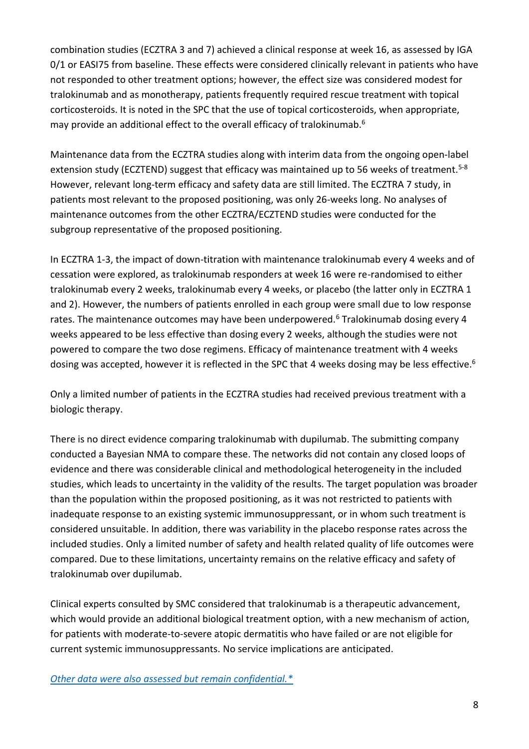combination studies (ECZTRA 3 and 7) achieved a clinical response at week 16, as assessed by IGA 0/1 or EASI75 from baseline. These effects were considered clinically relevant in patients who have not responded to other treatment options; however, the effect size was considered modest for tralokinumab and as monotherapy, patients frequently required rescue treatment with topical corticosteroids. It is noted in the SPC that the use of topical corticosteroids, when appropriate, may provide an additional effect to the overall efficacy of tralokinumab. 6

Maintenance data from the ECZTRA studies along with interim data from the ongoing open-label extension study (ECZTEND) suggest that efficacy was maintained up to 56 weeks of treatment.<sup>5-8</sup> However, relevant long-term efficacy and safety data are still limited. The ECZTRA 7 study, in patients most relevant to the proposed positioning, was only 26-weeks long. No analyses of maintenance outcomes from the other ECZTRA/ECZTEND studies were conducted for the subgroup representative of the proposed positioning.

In ECZTRA 1-3, the impact of down-titration with maintenance tralokinumab every 4 weeks and of cessation were explored, as tralokinumab responders at week 16 were re-randomised to either tralokinumab every 2 weeks, tralokinumab every 4 weeks, or placebo (the latter only in ECZTRA 1 and 2). However, the numbers of patients enrolled in each group were small due to low response rates. The maintenance outcomes may have been underpowered.<sup>6</sup> Tralokinumab dosing every 4 weeks appeared to be less effective than dosing every 2 weeks, although the studies were not powered to compare the two dose regimens. Efficacy of maintenance treatment with 4 weeks dosing was accepted, however it is reflected in the SPC that 4 weeks dosing may be less effective.<sup>6</sup>

Only a limited number of patients in the ECZTRA studies had received previous treatment with a biologic therapy.

There is no direct evidence comparing tralokinumab with dupilumab. The submitting company conducted a Bayesian NMA to compare these. The networks did not contain any closed loops of evidence and there was considerable clinical and methodological heterogeneity in the included studies, which leads to uncertainty in the validity of the results. The target population was broader than the population within the proposed positioning, as it was not restricted to patients with inadequate response to an existing systemic immunosuppressant, or in whom such treatment is considered unsuitable. In addition, there was variability in the placebo response rates across the included studies. Only a limited number of safety and health related quality of life outcomes were compared. Due to these limitations, uncertainty remains on the relative efficacy and safety of tralokinumab over dupilumab.

Clinical experts consulted by SMC considered that tralokinumab is a therapeutic advancement, which would provide an additional biological treatment option, with a new mechanism of action, for patients with moderate-to-severe atopic dermatitis who have failed or are not eligible for current systemic immunosuppressants. No service implications are anticipated.

*[Other data were also assessed but remain confidential.\\*](https://www.scottishmedicines.org.uk/media/3572/20180710-release-of-company-data.pdf)*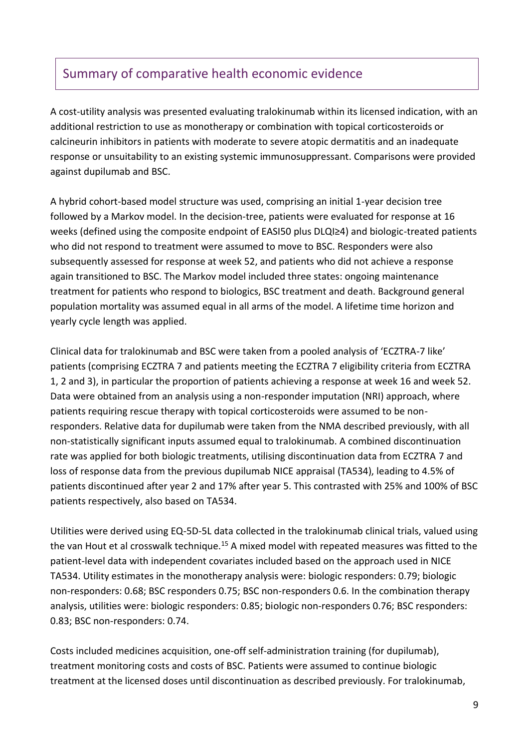# Summary of comparative health economic evidence

A cost-utility analysis was presented evaluating tralokinumab within its licensed indication, with an additional restriction to use as monotherapy or combination with topical corticosteroids or calcineurin inhibitors in patients with moderate to severe atopic dermatitis and an inadequate response or unsuitability to an existing systemic immunosuppressant. Comparisons were provided against dupilumab and BSC.

A hybrid cohort-based model structure was used, comprising an initial 1-year decision tree followed by a Markov model. In the decision-tree, patients were evaluated for response at 16 weeks (defined using the composite endpoint of EASI50 plus DLQI≥4) and biologic-treated patients who did not respond to treatment were assumed to move to BSC. Responders were also subsequently assessed for response at week 52, and patients who did not achieve a response again transitioned to BSC. The Markov model included three states: ongoing maintenance treatment for patients who respond to biologics, BSC treatment and death. Background general population mortality was assumed equal in all arms of the model. A lifetime time horizon and yearly cycle length was applied.

Clinical data for tralokinumab and BSC were taken from a pooled analysis of 'ECZTRA-7 like' patients (comprising ECZTRA 7 and patients meeting the ECZTRA 7 eligibility criteria from ECZTRA 1, 2 and 3), in particular the proportion of patients achieving a response at week 16 and week 52. Data were obtained from an analysis using a non-responder imputation (NRI) approach, where patients requiring rescue therapy with topical corticosteroids were assumed to be nonresponders. Relative data for dupilumab were taken from the NMA described previously, with all non-statistically significant inputs assumed equal to tralokinumab. A combined discontinuation rate was applied for both biologic treatments, utilising discontinuation data from ECZTRA 7 and loss of response data from the previous dupilumab NICE appraisal (TA534), leading to 4.5% of patients discontinued after year 2 and 17% after year 5. This contrasted with 25% and 100% of BSC patients respectively, also based on TA534.

Utilities were derived using EQ-5D-5L data collected in the tralokinumab clinical trials, valued using the van Hout et al crosswalk technique.<sup>15</sup> A mixed model with repeated measures was fitted to the patient-level data with independent covariates included based on the approach used in NICE TA534. Utility estimates in the monotherapy analysis were: biologic responders: 0.79; biologic non-responders: 0.68; BSC responders 0.75; BSC non-responders 0.6. In the combination therapy analysis, utilities were: biologic responders: 0.85; biologic non-responders 0.76; BSC responders: 0.83; BSC non-responders: 0.74.

Costs included medicines acquisition, one-off self-administration training (for dupilumab), treatment monitoring costs and costs of BSC. Patients were assumed to continue biologic treatment at the licensed doses until discontinuation as described previously. For tralokinumab,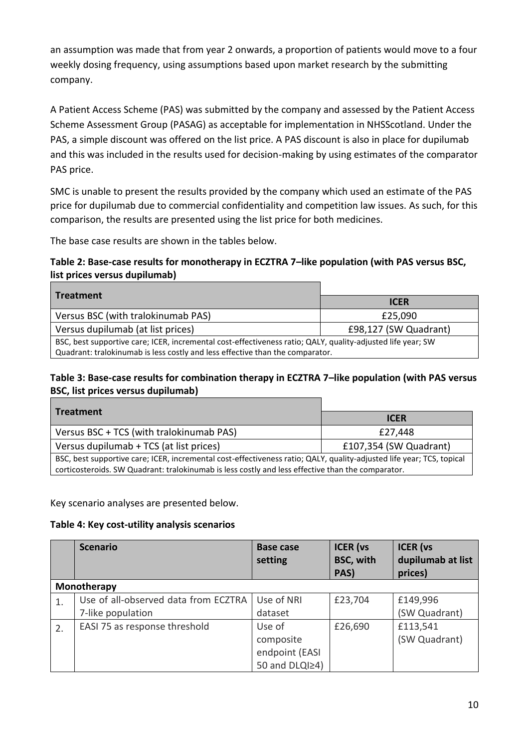an assumption was made that from year 2 onwards, a proportion of patients would move to a four weekly dosing frequency, using assumptions based upon market research by the submitting company.

A Patient Access Scheme (PAS) was submitted by the company and assessed by the Patient Access Scheme Assessment Group (PASAG) as acceptable for implementation in NHSScotland. Under the PAS, a simple discount was offered on the list price. A PAS discount is also in place for dupilumab and this was included in the results used for decision-making by using estimates of the comparator PAS price.

SMC is unable to present the results provided by the company which used an estimate of the PAS price for dupilumab due to commercial confidentiality and competition law issues. As such, for this comparison, the results are presented using the list price for both medicines.

The base case results are shown in the tables below.

#### **Table 2: Base-case results for monotherapy in ECZTRA 7–like population (with PAS versus BSC, list prices versus dupilumab)**

| <b>Treatment</b>                                                                                            |                       |  |  |  |
|-------------------------------------------------------------------------------------------------------------|-----------------------|--|--|--|
|                                                                                                             | <b>ICER</b>           |  |  |  |
| Versus BSC (with tralokinumab PAS)                                                                          | £25,090               |  |  |  |
| Versus dupilumab (at list prices)                                                                           | £98,127 (SW Quadrant) |  |  |  |
| BSC, best supportive care; ICER, incremental cost-effectiveness ratio; QALY, quality-adjusted life year; SW |                       |  |  |  |
| Quadrant: tralokinumab is less costly and less effective than the comparator.                               |                       |  |  |  |

#### **Table 3: Base-case results for combination therapy in ECZTRA 7–like population (with PAS versus BSC, list prices versus dupilumab)**

| <b>Treatment</b>                                                                                                                                                                                                           |                        |  |  |  |
|----------------------------------------------------------------------------------------------------------------------------------------------------------------------------------------------------------------------------|------------------------|--|--|--|
|                                                                                                                                                                                                                            | <b>ICER</b>            |  |  |  |
| Versus BSC + TCS (with tralokinumab PAS)                                                                                                                                                                                   | £27,448                |  |  |  |
| Versus dupilumab + TCS (at list prices)                                                                                                                                                                                    | £107,354 (SW Quadrant) |  |  |  |
| BSC, best supportive care; ICER, incremental cost-effectiveness ratio; QALY, quality-adjusted life year; TCS, topical<br>corticosteroids. SW Quadrant: tralokinumab is less costly and less effective than the comparator. |                        |  |  |  |

Key scenario analyses are presented below.

#### **Table 4: Key cost-utility analysis scenarios**

|    | <b>Scenario</b>                      | <b>Base case</b><br>setting | <b>ICER</b> (vs<br><b>BSC, with</b><br>PAS) | <b>ICER</b> (vs<br>dupilumab at list<br>prices) |
|----|--------------------------------------|-----------------------------|---------------------------------------------|-------------------------------------------------|
|    | Monotherapy                          |                             |                                             |                                                 |
| 1. | Use of all-observed data from ECZTRA | Use of NRI                  | £23,704                                     | £149,996                                        |
|    | 7-like population                    | dataset                     |                                             | (SW Quadrant)                                   |
| 2. | EASI 75 as response threshold        | Use of                      | £26,690                                     | £113,541                                        |
|    |                                      | composite                   |                                             | (SW Quadrant)                                   |
|    |                                      | endpoint (EASI              |                                             |                                                 |
|    |                                      | 50 and DLQI24)              |                                             |                                                 |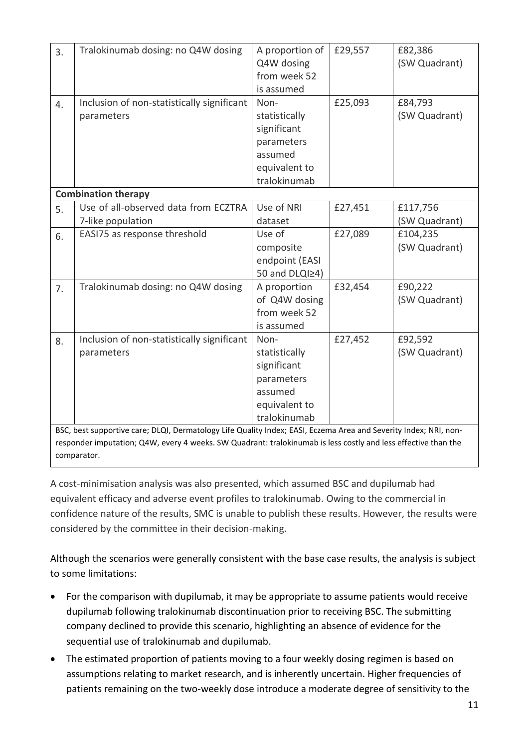| 3.                                                                                                               | Tralokinumab dosing: no Q4W dosing                                                                             | A proportion of | £29,557 | £82,386       |  |  |
|------------------------------------------------------------------------------------------------------------------|----------------------------------------------------------------------------------------------------------------|-----------------|---------|---------------|--|--|
|                                                                                                                  |                                                                                                                | Q4W dosing      |         | (SW Quadrant) |  |  |
|                                                                                                                  |                                                                                                                | from week 52    |         |               |  |  |
|                                                                                                                  |                                                                                                                | is assumed      |         |               |  |  |
| 4.                                                                                                               | Inclusion of non-statistically significant                                                                     | Non-            | £25,093 | £84,793       |  |  |
|                                                                                                                  | parameters                                                                                                     | statistically   |         | (SW Quadrant) |  |  |
|                                                                                                                  |                                                                                                                | significant     |         |               |  |  |
|                                                                                                                  |                                                                                                                | parameters      |         |               |  |  |
|                                                                                                                  |                                                                                                                | assumed         |         |               |  |  |
|                                                                                                                  |                                                                                                                | equivalent to   |         |               |  |  |
|                                                                                                                  |                                                                                                                | tralokinumab    |         |               |  |  |
|                                                                                                                  | <b>Combination therapy</b>                                                                                     |                 |         |               |  |  |
| 5.                                                                                                               | Use of all-observed data from ECZTRA                                                                           | Use of NRI      | £27,451 | £117,756      |  |  |
|                                                                                                                  | 7-like population                                                                                              | dataset         |         | (SW Quadrant) |  |  |
| 6.                                                                                                               | EASI75 as response threshold                                                                                   | Use of          | £27,089 | £104,235      |  |  |
|                                                                                                                  |                                                                                                                | composite       |         | (SW Quadrant) |  |  |
|                                                                                                                  |                                                                                                                | endpoint (EASI  |         |               |  |  |
|                                                                                                                  |                                                                                                                | 50 and DLQI24)  |         |               |  |  |
| 7.                                                                                                               | Tralokinumab dosing: no Q4W dosing                                                                             | A proportion    | £32,454 | £90,222       |  |  |
|                                                                                                                  |                                                                                                                | of Q4W dosing   |         | (SW Quadrant) |  |  |
|                                                                                                                  |                                                                                                                | from week 52    |         |               |  |  |
|                                                                                                                  |                                                                                                                | is assumed      |         |               |  |  |
| 8.                                                                                                               | Inclusion of non-statistically significant                                                                     | Non-            | £27,452 | £92,592       |  |  |
|                                                                                                                  | parameters                                                                                                     | statistically   |         | (SW Quadrant) |  |  |
|                                                                                                                  |                                                                                                                | significant     |         |               |  |  |
|                                                                                                                  |                                                                                                                | parameters      |         |               |  |  |
|                                                                                                                  |                                                                                                                | assumed         |         |               |  |  |
|                                                                                                                  |                                                                                                                | equivalent to   |         |               |  |  |
|                                                                                                                  |                                                                                                                | tralokinumab    |         |               |  |  |
| BSC, best supportive care; DLQI, Dermatology Life Quality Index; EASI, Eczema Area and Severity Index; NRI, non- |                                                                                                                |                 |         |               |  |  |
|                                                                                                                  | responder imputation; Q4W, every 4 weeks. SW Quadrant: tralokinumab is less costly and less effective than the |                 |         |               |  |  |
|                                                                                                                  | comparator.                                                                                                    |                 |         |               |  |  |

A cost-minimisation analysis was also presented, which assumed BSC and dupilumab had equivalent efficacy and adverse event profiles to tralokinumab. Owing to the commercial in confidence nature of the results, SMC is unable to publish these results. However, the results were considered by the committee in their decision-making.

Although the scenarios were generally consistent with the base case results, the analysis is subject to some limitations:

- For the comparison with dupilumab, it may be appropriate to assume patients would receive dupilumab following tralokinumab discontinuation prior to receiving BSC. The submitting company declined to provide this scenario, highlighting an absence of evidence for the sequential use of tralokinumab and dupilumab.
- The estimated proportion of patients moving to a four weekly dosing regimen is based on assumptions relating to market research, and is inherently uncertain. Higher frequencies of patients remaining on the two-weekly dose introduce a moderate degree of sensitivity to the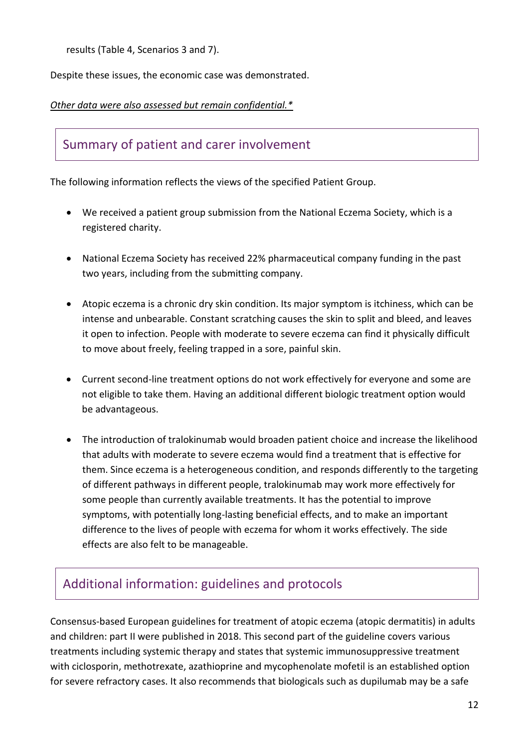results (Table 4, Scenarios 3 and 7).

Despite these issues, the economic case was demonstrated.

#### *Other data were also assessed but remain confidential.\**

### Summary of patient and carer involvement

The following information reflects the views of the specified Patient Group.

- We received a patient group submission from the National Eczema Society, which is a registered charity.
- National Eczema Society has received 22% pharmaceutical company funding in the past two years, including from the submitting company.
- Atopic eczema is a chronic dry skin condition. Its major symptom is itchiness, which can be intense and unbearable. Constant scratching causes the skin to split and bleed, and leaves it open to infection. People with moderate to severe eczema can find it physically difficult to move about freely, feeling trapped in a sore, painful skin.
- Current second-line treatment options do not work effectively for everyone and some are not eligible to take them. Having an additional different biologic treatment option would be advantageous.
- The introduction of tralokinumab would broaden patient choice and increase the likelihood that adults with moderate to severe eczema would find a treatment that is effective for them. Since eczema is a heterogeneous condition, and responds differently to the targeting of different pathways in different people, tralokinumab may work more effectively for some people than currently available treatments. It has the potential to improve symptoms, with potentially long-lasting beneficial effects, and to make an important difference to the lives of people with eczema for whom it works effectively. The side effects are also felt to be manageable.

# Additional information: guidelines and protocols

Consensus-based European guidelines for treatment of atopic eczema (atopic dermatitis) in adults and children: part II were published in 2018. This second part of the guideline covers various treatments including systemic therapy and states that systemic immunosuppressive treatment with ciclosporin, methotrexate, azathioprine and mycophenolate mofetil is an established option for severe refractory cases. It also recommends that biologicals such as dupilumab may be a safe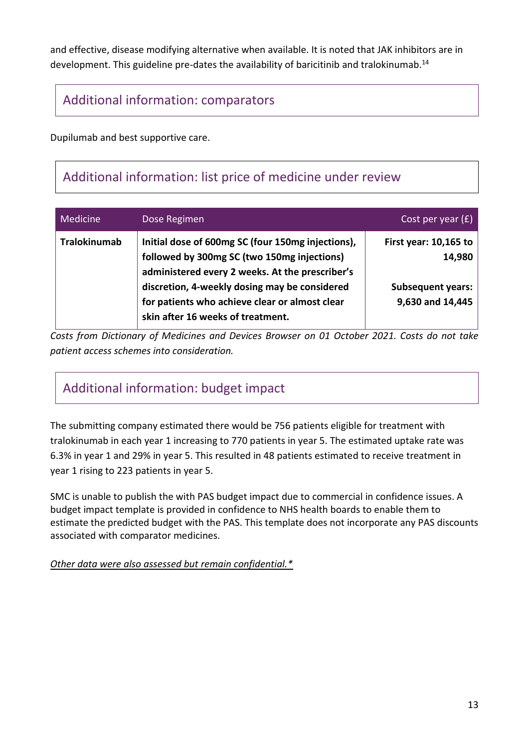and effective, disease modifying alternative when available. It is noted that JAK inhibitors are in development. This guideline pre-dates the availability of baricitinib and tralokinumab.<sup>14</sup>

# Additional information: comparators

Dupilumab and best supportive care.

# Additional information: list price of medicine under review

| Medicine            | Dose Regimen                                                                                                                                                                                                                                                                                | Cost per year (£).                                                                |
|---------------------|---------------------------------------------------------------------------------------------------------------------------------------------------------------------------------------------------------------------------------------------------------------------------------------------|-----------------------------------------------------------------------------------|
| <b>Tralokinumab</b> | Initial dose of 600mg SC (four 150mg injections),<br>followed by 300mg SC (two 150mg injections)<br>administered every 2 weeks. At the prescriber's<br>discretion, 4-weekly dosing may be considered<br>for patients who achieve clear or almost clear<br>skin after 16 weeks of treatment. | First year: $10,165$ to<br>14,980<br><b>Subsequent years:</b><br>9,630 and 14,445 |

*Costs from Dictionary of Medicines and Devices Browser on 01 October 2021. Costs do not take patient access schemes into consideration.*

# Additional information: budget impact

The submitting company estimated there would be 756 patients eligible for treatment with tralokinumab in each year 1 increasing to 770 patients in year 5. The estimated uptake rate was 6.3% in year 1 and 29% in year 5. This resulted in 48 patients estimated to receive treatment in year 1 rising to 223 patients in year 5.

SMC is unable to publish the with PAS budget impact due to commercial in confidence issues. A budget impact template is provided in confidence to NHS health boards to enable them to estimate the predicted budget with the PAS. This template does not incorporate any PAS discounts associated with comparator medicines.

*Other data were also assessed but remain confidential.\**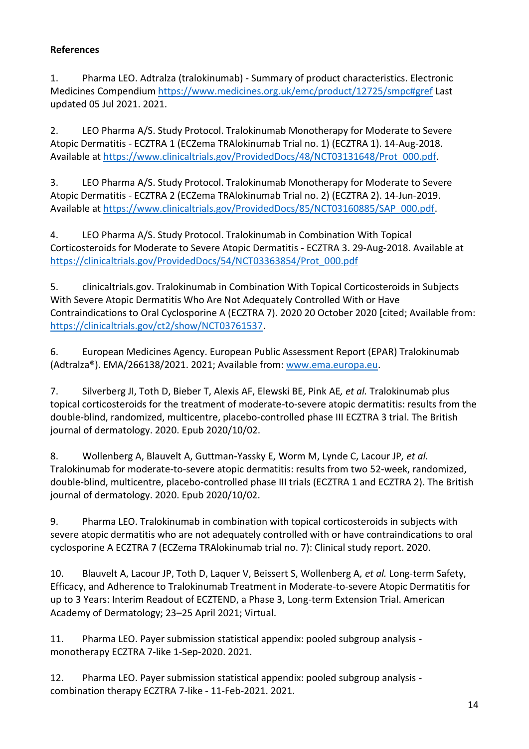#### **References**

1. Pharma LEO. Adtralza (tralokinumab) - Summary of product characteristics. Electronic Medicines Compendium<https://www.medicines.org.uk/emc/product/12725/smpc#gref> Last updated 05 Jul 2021. 2021.

2. LEO Pharma A/S. Study Protocol. Tralokinumab Monotherapy for Moderate to Severe Atopic Dermatitis - ECZTRA 1 (ECZema TRAlokinumab Trial no. 1) (ECZTRA 1). 14-Aug-2018. Available at [https://www.clinicaltrials.gov/ProvidedDocs/48/NCT03131648/Prot\\_000.pdf.](https://www.clinicaltrials.gov/ProvidedDocs/48/NCT03131648/Prot_000.pdf)

3. LEO Pharma A/S. Study Protocol. Tralokinumab Monotherapy for Moderate to Severe Atopic Dermatitis - ECZTRA 2 (ECZema TRAlokinumab Trial no. 2) (ECZTRA 2). 14-Jun-2019. Available at [https://www.clinicaltrials.gov/ProvidedDocs/85/NCT03160885/SAP\\_000.pdf.](https://www.clinicaltrials.gov/ProvidedDocs/85/NCT03160885/SAP_000.pdf)

4. LEO Pharma A/S. Study Protocol. Tralokinumab in Combination With Topical Corticosteroids for Moderate to Severe Atopic Dermatitis - ECZTRA 3. 29-Aug-2018. Available at [https://clinicaltrials.gov/ProvidedDocs/54/NCT03363854/Prot\\_000.pdf](https://clinicaltrials.gov/ProvidedDocs/54/NCT03363854/Prot_000.pdf)

5. clinicaltrials.gov. Tralokinumab in Combination With Topical Corticosteroids in Subjects With Severe Atopic Dermatitis Who Are Not Adequately Controlled With or Have Contraindications to Oral Cyclosporine A (ECZTRA 7). 2020 20 October 2020 [cited; Available from: [https://clinicaltrials.gov/ct2/show/NCT03761537.](https://clinicaltrials.gov/ct2/show/NCT03761537)

6. European Medicines Agency. European Public Assessment Report (EPAR) Tralokinumab (Adtralza®). EMA/266138/2021. 2021; Available from: [www.ema.europa.eu.](file://///hisldata03/share/SMC/Subs/2021/tralokinumab%20(Adtralza)%20with%20PAS%202403/DAD%20AT%20Final%20for%20NDC/www.ema.europa.eu)

7. Silverberg JI, Toth D, Bieber T, Alexis AF, Elewski BE, Pink AE*, et al.* Tralokinumab plus topical corticosteroids for the treatment of moderate-to-severe atopic dermatitis: results from the double-blind, randomized, multicentre, placebo-controlled phase III ECZTRA 3 trial. The British journal of dermatology. 2020. Epub 2020/10/02.

8. Wollenberg A, Blauvelt A, Guttman-Yassky E, Worm M, Lynde C, Lacour JP*, et al.* Tralokinumab for moderate-to-severe atopic dermatitis: results from two 52-week, randomized, double-blind, multicentre, placebo-controlled phase III trials (ECZTRA 1 and ECZTRA 2). The British journal of dermatology. 2020. Epub 2020/10/02.

9. Pharma LEO. Tralokinumab in combination with topical corticosteroids in subjects with severe atopic dermatitis who are not adequately controlled with or have contraindications to oral cyclosporine A ECZTRA 7 (ECZema TRAlokinumab trial no. 7): Clinical study report. 2020.

10. Blauvelt A, Lacour JP, Toth D, Laquer V, Beissert S, Wollenberg A*, et al.* Long-term Safety, Efficacy, and Adherence to Tralokinumab Treatment in Moderate-to-severe Atopic Dermatitis for up to 3 Years: Interim Readout of ECZTEND, a Phase 3, Long-term Extension Trial. American Academy of Dermatology; 23–25 April 2021; Virtual.

11. Pharma LEO. Payer submission statistical appendix: pooled subgroup analysis monotherapy ECZTRA 7-like 1-Sep-2020. 2021.

12. Pharma LEO. Payer submission statistical appendix: pooled subgroup analysis combination therapy ECZTRA 7-like - 11-Feb-2021. 2021.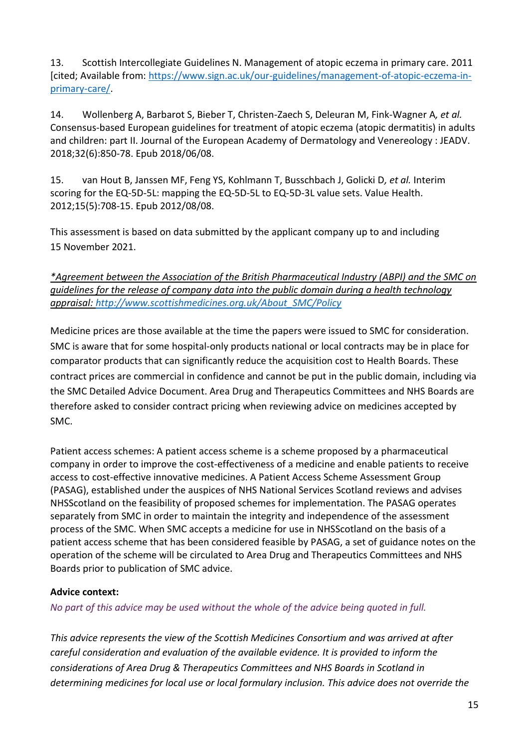13. Scottish Intercollegiate Guidelines N. Management of atopic eczema in primary care. 2011 [cited; Available from: [https://www.sign.ac.uk/our-guidelines/management-of-atopic-eczema-in](https://www.sign.ac.uk/our-guidelines/management-of-atopic-eczema-in-primary-care/)[primary-care/.](https://www.sign.ac.uk/our-guidelines/management-of-atopic-eczema-in-primary-care/)

14. Wollenberg A, Barbarot S, Bieber T, Christen-Zaech S, Deleuran M, Fink-Wagner A*, et al.* Consensus-based European guidelines for treatment of atopic eczema (atopic dermatitis) in adults and children: part II. Journal of the European Academy of Dermatology and Venereology : JEADV. 2018;32(6):850-78. Epub 2018/06/08.

15. van Hout B, Janssen MF, Feng YS, Kohlmann T, Busschbach J, Golicki D*, et al.* Interim scoring for the EQ-5D-5L: mapping the EQ-5D-5L to EQ-5D-3L value sets. Value Health. 2012;15(5):708-15. Epub 2012/08/08.

This assessment is based on data submitted by the applicant company up to and including 15 November 2021.

*\*Agreement between the Association of the British Pharmaceutical Industry (ABPI) and the SMC on guidelines for the release of company data into the public domain during a health technology appraisal: [http://www.scottishmedicines.org.uk/About\\_SMC/Policy](http://www.scottishmedicines.org.uk/About_SMC/Policy)*

Medicine prices are those available at the time the papers were issued to SMC for consideration. SMC is aware that for some hospital-only products national or local contracts may be in place for comparator products that can significantly reduce the acquisition cost to Health Boards. These contract prices are commercial in confidence and cannot be put in the public domain, including via the SMC Detailed Advice Document. Area Drug and Therapeutics Committees and NHS Boards are therefore asked to consider contract pricing when reviewing advice on medicines accepted by SMC.

Patient access schemes: A patient access scheme is a scheme proposed by a pharmaceutical company in order to improve the cost-effectiveness of a medicine and enable patients to receive access to cost-effective innovative medicines. A Patient Access Scheme Assessment Group (PASAG), established under the auspices of NHS National Services Scotland reviews and advises NHSScotland on the feasibility of proposed schemes for implementation. The PASAG operates separately from SMC in order to maintain the integrity and independence of the assessment process of the SMC. When SMC accepts a medicine for use in NHSScotland on the basis of a patient access scheme that has been considered feasible by PASAG, a set of guidance notes on the operation of the scheme will be circulated to Area Drug and Therapeutics Committees and NHS Boards prior to publication of SMC advice.

#### **Advice context:**

*No part of this advice may be used without the whole of the advice being quoted in full.* 

*This advice represents the view of the Scottish Medicines Consortium and was arrived at after careful consideration and evaluation of the available evidence. It is provided to inform the considerations of Area Drug & Therapeutics Committees and NHS Boards in Scotland in determining medicines for local use or local formulary inclusion. This advice does not override the*